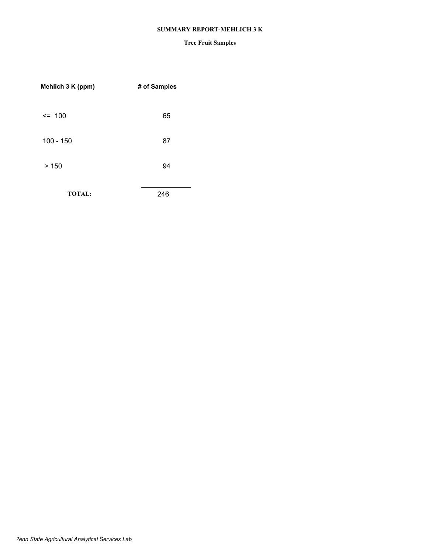#### **SUMMARY REPORT-MEHLICH 3 K**

| Mehlich 3 K (ppm) | # of Samples |
|-------------------|--------------|
| $\leq$ 100        | 65           |
| $100 - 150$       | 87           |
| >150              | 94           |
| <b>TOTAL:</b>     | 246          |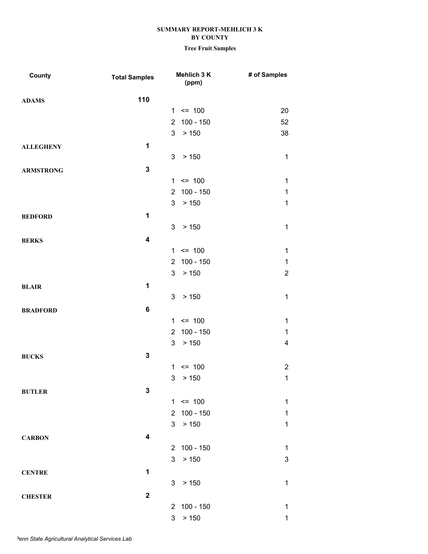| County           | <b>Total Samples</b>    | Mehlich 3 K<br>(ppm)          | # of Samples |
|------------------|-------------------------|-------------------------------|--------------|
| <b>ADAMS</b>     | 110                     |                               |              |
|                  |                         | $= 100$<br>1                  | 20           |
|                  |                         | $100 - 150$<br>$\overline{2}$ | 52           |
|                  |                         | $3\overline{3}$<br>> 150      | 38           |
| <b>ALLEGHENY</b> | $\mathbf 1$             |                               |              |
|                  |                         | 3<br>> 150                    | $\mathbf 1$  |
| <b>ARMSTRONG</b> | $\mathbf 3$             |                               |              |
|                  |                         | $= 100$<br>1                  | $\mathbf 1$  |
|                  |                         | 100 - 150<br>$\overline{2}$   | $\mathbf{1}$ |
|                  |                         | 3<br>> 150                    | $\mathbf{1}$ |
| <b>BEDFORD</b>   | 1                       |                               |              |
|                  |                         | 3 <sup>1</sup><br>> 150       | $\mathbf{1}$ |
| <b>BERKS</b>     | $\overline{\mathbf{4}}$ |                               |              |
|                  |                         | $= 100$<br>$\mathbf{1}$       | $\mathbf{1}$ |
|                  |                         | $100 - 150$<br>$\overline{2}$ | $\mathbf{1}$ |
|                  |                         | > 150<br>3                    | $\mathbf{2}$ |
| <b>BLAIR</b>     | 1                       |                               |              |
|                  |                         | 3<br>> 150                    | $\mathbf 1$  |
| <b>BRADFORD</b>  | 6                       |                               |              |
|                  |                         | $= 100$<br>$\mathbf{1}$       | $\mathbf{1}$ |
|                  |                         | $100 - 150$<br>$\overline{2}$ | $\mathbf 1$  |
|                  |                         | 3<br>> 150                    | 4            |
| <b>BUCKS</b>     | 3                       |                               |              |
|                  |                         | $= 100$<br>1                  | $\mathbf{2}$ |
|                  |                         | > 150<br>3                    | $\mathbf{1}$ |
| <b>BUTLER</b>    | 3                       |                               |              |
|                  |                         | $1 \le 100$                   | $\mathbf{1}$ |
|                  |                         | 2 100 - 150                   | $\mathbf 1$  |
|                  |                         | > 150<br>3 <sup>1</sup>       | $\mathbf 1$  |
| <b>CARBON</b>    | $\overline{\mathbf{4}}$ |                               |              |
|                  |                         | 100 - 150<br>$\overline{2}$   | $\mathbf{1}$ |
|                  |                         | $3\overline{3}$<br>> 150      | $\mathbf 3$  |
| <b>CENTRE</b>    | 1                       |                               |              |
|                  |                         | 3 <sup>1</sup><br>> 150       | $\mathbf 1$  |
| <b>CHESTER</b>   | $\mathbf{2}$            |                               |              |
|                  |                         | 2 100 - 150                   | $\mathbf 1$  |
|                  |                         | 3<br>> 150                    | $\mathbf 1$  |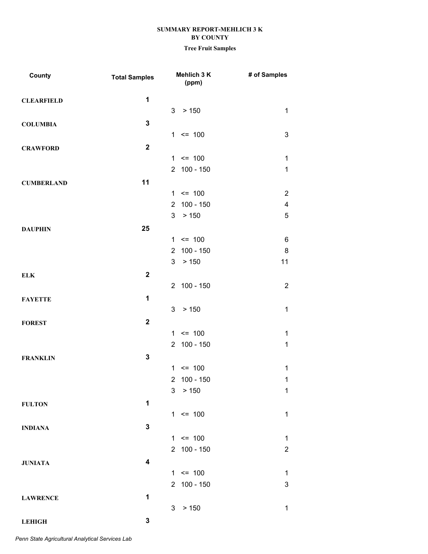### **Tree Fruit Samples**

| County            | <b>Total Samples</b> |                | Mehlich 3 K<br>(ppm) | # of Samples            |
|-------------------|----------------------|----------------|----------------------|-------------------------|
| <b>CLEARFIELD</b> | $\mathbf 1$          |                |                      |                         |
|                   |                      | 3              | > 150                | $\mathbf{1}$            |
| <b>COLUMBIA</b>   | $\mathbf 3$          |                |                      |                         |
|                   |                      |                | $1 \le 100$          | 3                       |
| <b>CRAWFORD</b>   | $\mathbf 2$          |                |                      |                         |
|                   |                      |                | $1 \le 100$          | $\mathbf 1$             |
|                   |                      | $2^{\circ}$    | $100 - 150$          | $\mathbf{1}$            |
| <b>CUMBERLAND</b> | 11                   |                |                      |                         |
|                   |                      |                | $1 \le 100$          | $\overline{c}$          |
|                   |                      | 2              | $100 - 150$          | $\overline{\mathbf{4}}$ |
|                   |                      | 3              | > 150                | 5                       |
| <b>DAUPHIN</b>    | 25                   |                |                      |                         |
|                   |                      | 1              | $= 100$              | 6                       |
|                   |                      | $\overline{2}$ | $100 - 150$          | 8                       |
|                   |                      | 3              | > 150                | 11                      |
| <b>ELK</b>        | $\mathbf 2$          |                |                      |                         |
|                   |                      |                | 2 100 - 150          | $\overline{2}$          |
| <b>FAYETTE</b>    | 1                    |                |                      |                         |
|                   |                      | 3 <sup>7</sup> | > 150                | $\mathbf{1}$            |
| <b>FOREST</b>     | $\mathbf 2$          |                |                      |                         |
|                   |                      |                | $1 \le 100$          | $\mathbf 1$             |
|                   |                      |                | 2 100 - 150          | $\mathbf 1$             |
| <b>FRANKLIN</b>   | $\mathbf 3$          |                |                      |                         |
|                   |                      | $\mathbf{1}$   | $= 100$              | $\mathbf{1}$            |
|                   |                      | $\overline{2}$ | $100 - 150$          | $\mathbf 1$             |
|                   |                      | 3 <sup>7</sup> | > 150                | $\mathbf 1$             |
| <b>FULTON</b>     | 1                    |                |                      |                         |
|                   |                      |                | $1 \le 100$          | $\mathbf 1$             |
| <b>INDIANA</b>    | $\mathbf 3$          |                |                      |                         |
|                   |                      |                | $1 \le 100$          | $\mathbf{1}$            |
|                   |                      |                | 2 100 - 150          | $\overline{2}$          |
| <b>JUNIATA</b>    | 4                    |                |                      |                         |
|                   |                      |                | $1 \le 100$          | $\mathbf 1$             |
|                   |                      |                | 2 100 - 150          | $\mathfrak{S}$          |
| <b>LAWRENCE</b>   | 1                    |                |                      |                         |
|                   |                      | 3 <sup>1</sup> | > 150                | 1                       |
| <b>LEHIGH</b>     | $\mathbf 3$          |                |                      |                         |

*Penn State Agricultural Analytical Services Lab*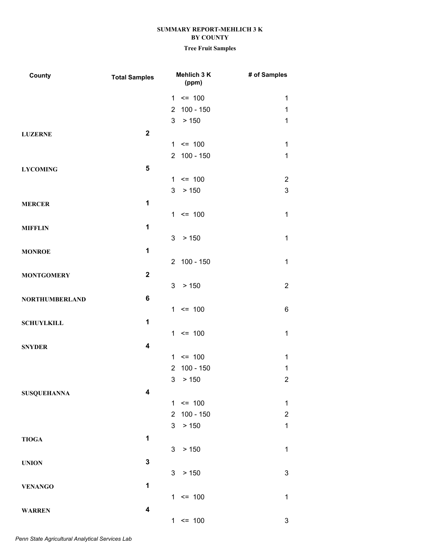| County                | <b>Total Samples</b>    | Mehlich 3 K<br>(ppm)          | # of Samples            |
|-----------------------|-------------------------|-------------------------------|-------------------------|
|                       |                         | $1 \le 100$                   | $\mathbf{1}$            |
|                       |                         | 2 100 - 150                   | $\mathbf 1$             |
|                       |                         | > 150<br>3                    | $\mathbf 1$             |
| <b>LUZERNE</b>        | $\mathbf{2}$            |                               |                         |
|                       |                         | $1 \le 100$                   | $\mathbf{1}$            |
|                       |                         | 2 100 - 150                   | $\mathbf 1$             |
| <b>LYCOMING</b>       | 5                       |                               |                         |
|                       |                         | $1 \le 100$                   | $\overline{2}$          |
|                       |                         | 3<br>> 150                    | $\mathfrak{S}$          |
| <b>MERCER</b>         | $\mathbf 1$             |                               |                         |
|                       |                         | $1 \le 100$                   | $\mathbf{1}$            |
| <b>MIFFLIN</b>        | 1                       |                               |                         |
|                       |                         | 3 <sup>7</sup><br>> 150       | $\mathbf{1}$            |
| <b>MONROE</b>         | 1                       |                               |                         |
|                       |                         | 2 100 - 150                   | $\mathbf{1}$            |
| <b>MONTGOMERY</b>     | $\mathbf 2$             |                               |                         |
|                       |                         | 3<br>> 150                    | $\overline{2}$          |
| <b>NORTHUMBERLAND</b> | 6                       |                               |                         |
|                       |                         | $= 100$<br>1                  | 6                       |
| <b>SCHUYLKILL</b>     | 1                       |                               |                         |
|                       |                         | $1 \le 100$                   | $\mathbf 1$             |
| <b>SNYDER</b>         | $\overline{\mathbf{4}}$ |                               |                         |
|                       |                         | $\leq$ 100<br>$\mathbf{1}$    | $\mathbf 1$             |
|                       |                         | $100 - 150$<br>$\overline{2}$ | 1                       |
|                       |                         | 3<br>> 150                    | $\overline{\mathbf{c}}$ |
| <b>SUSQUEHANNA</b>    | 4                       |                               |                         |
|                       |                         | $1 \le 100$                   | $\mathbf{1}$            |
|                       |                         | 100 - 150<br>$\overline{2}$   | $\overline{2}$          |
|                       |                         | > 150<br>3                    | $\mathbf 1$             |
| <b>TIOGA</b>          | 1                       |                               |                         |
|                       |                         | 3<br>> 150                    | $\mathbf{1}$            |
|                       | 3                       |                               |                         |
| <b>UNION</b>          |                         | 3 <sup>1</sup><br>> 150       | $\mathfrak{S}$          |
| <b>VENANGO</b>        | 1                       |                               |                         |
|                       |                         | $1 \le 100$                   | $\mathbf{1}$            |
|                       | 4                       |                               |                         |
| <b>WARREN</b>         |                         | $1 \le 100$                   | 3                       |